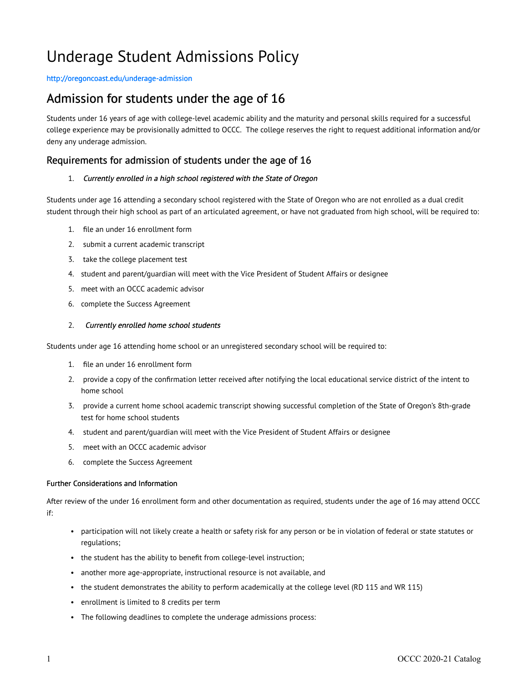# Underage Student Admissions Policy

<http://oregoncoast.edu/underage-admission>

## Admission for students under the age of 16

Students under 16 years of age with college-level academic ability and the maturity and personal skills required for a successful college experience may be provisionally admitted to OCCC. The college reserves the right to request additional information and/or deny any underage admission.

### Requirements for admission of students under the age of 16

#### 1. Currently enrolled in a high school registered with the State of Oregon

Students under age 16 attending a secondary school registered with the State of Oregon who are not enrolled as a dual credit student through their high school as part of an articulated agreement, or have not graduated from high school, will be required to:

- 1. file an under 16 enrollment form
- 2. submit a current academic transcript
- 3. take the college placement test
- 4. student and parent/guardian will meet with the Vice President of Student Affairs or designee
- 5. meet with an OCCC academic advisor
- 6. complete the Success Agreement

#### 2. Currently enrolled home school students

Students under age 16 attending home school or an unregistered secondary school will be required to:

- 1. file an under 16 enrollment form
- 2. provide a copy of the confirmation letter received after notifying the local educational service district of the intent to home school
- 3. provide a current home school academic transcript showing successful completion of the State of Oregon's 8th-grade test for home school students
- 4. student and parent/guardian will meet with the Vice President of Student Affairs or designee
- 5. meet with an OCCC academic advisor
- 6. complete the Success Agreement

#### Further Considerations and Information

After review of the under 16 enrollment form and other documentation as required, students under the age of 16 may attend OCCC if:

- participation will not likely create a health or safety risk for any person or be in violation of federal or state statutes or regulations;
- the student has the ability to benefit from college-level instruction;
- another more age-appropriate, instructional resource is not available, and
- the student demonstrates the ability to perform academically at the college level (RD 115 and WR 115)
- enrollment is limited to 8 credits per term
- The following deadlines to complete the underage admissions process: